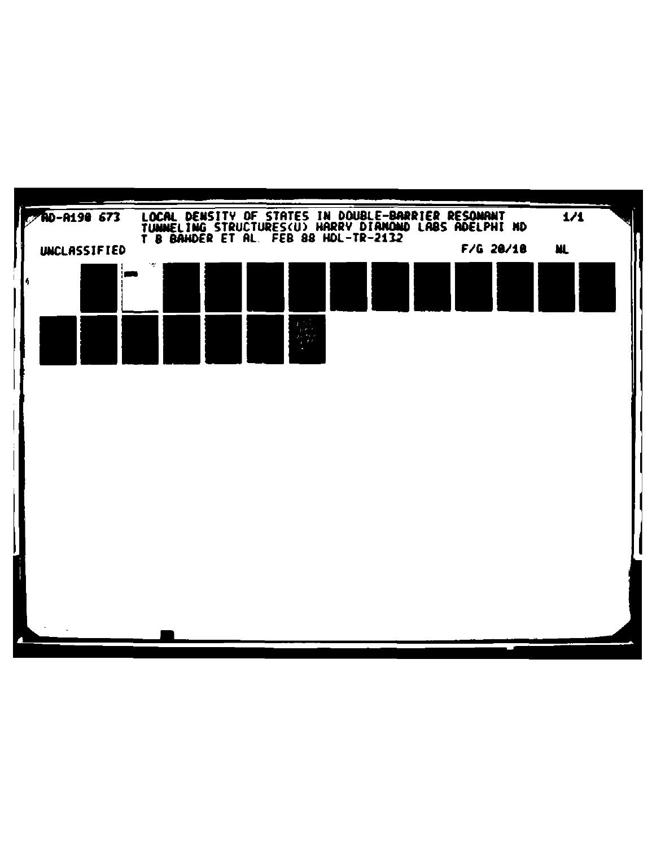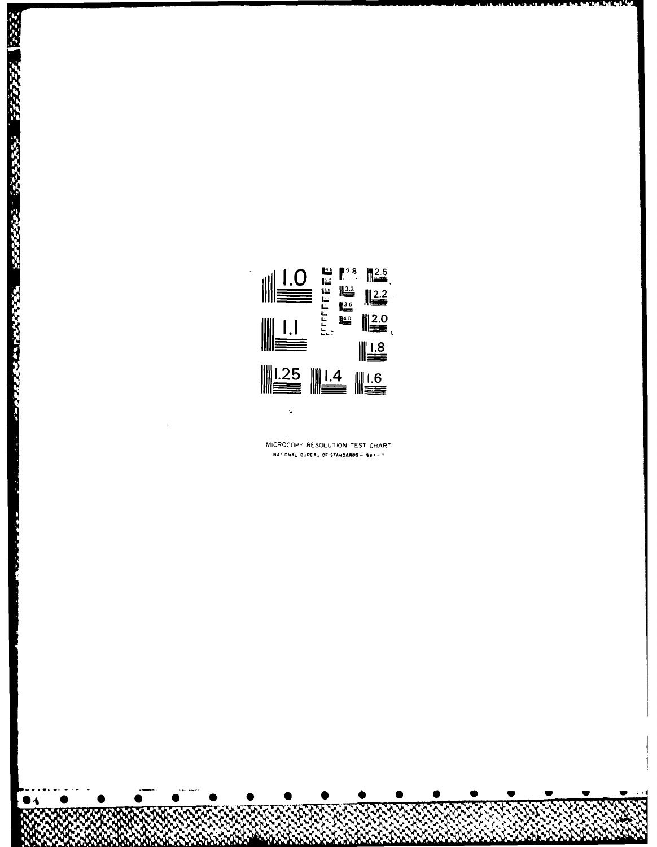

rest 1990 - 1990 - 1990 - 1990 - 1990 - 1990 - 1990 - 1990 - 1990 - 1990 - 1990 - 1990 - 1990 - 1990 - 1990 -

MICROCOPY RESOLUTION TEST CHART NATIONAL BUREAU OF STANDARDS-1963-1

 $\mathbf{r}_\mathbf{a}$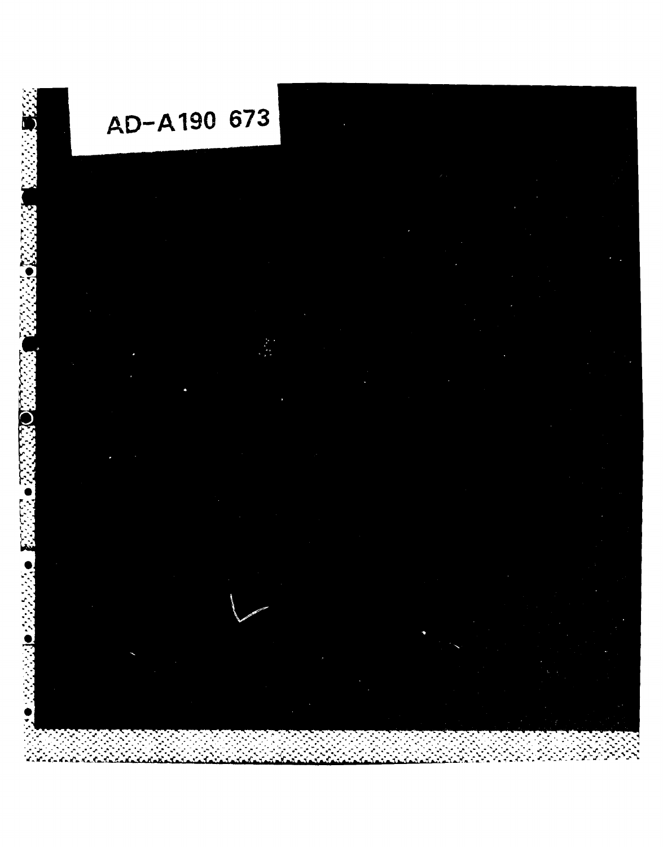# AD-A190 673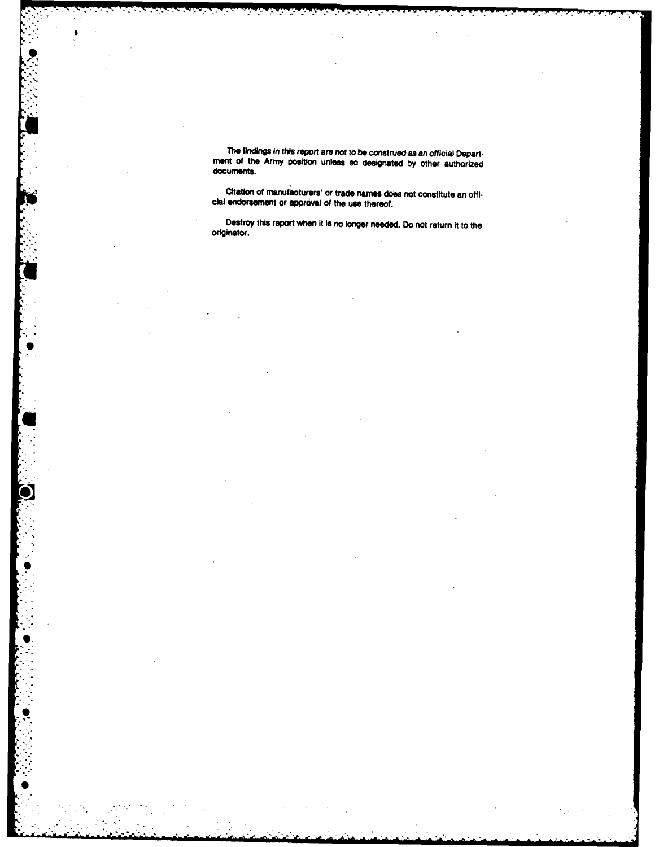The findings In this report are not to **be** construed **as** an official **Depart. ment of** the Army position unless so designated **by** other authorized documents.

Citation of manufacturers' or trade names **does** not constitute an **offl.** cial endorsement or approval of the use thereof.

Destroy this report when it **Is** no **longer** needed. Do **not** return it to the originator.

**9**

**S**

**S,**

**0"**

**S-::**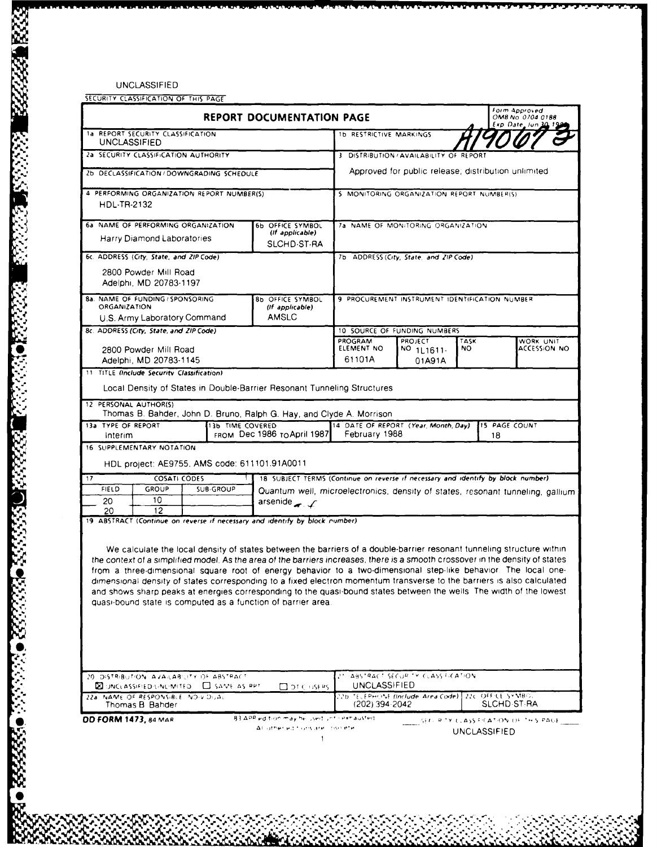**UNCLASSIFIED** 

|                                                          |                                                                         |                                                                                           | <b>REPORT DOCUMENTATION PAGE</b>                                                                                                                                                                                                                                                                                                                                                                                                                                                                                                                                                                                                                                                                                                                                             |                                                                                   |                                                                                            |                     | Form Approved<br>OMB No. 0704 0188<br>Exp. Date_Jun 30, 15 |
|----------------------------------------------------------|-------------------------------------------------------------------------|-------------------------------------------------------------------------------------------|------------------------------------------------------------------------------------------------------------------------------------------------------------------------------------------------------------------------------------------------------------------------------------------------------------------------------------------------------------------------------------------------------------------------------------------------------------------------------------------------------------------------------------------------------------------------------------------------------------------------------------------------------------------------------------------------------------------------------------------------------------------------------|-----------------------------------------------------------------------------------|--------------------------------------------------------------------------------------------|---------------------|------------------------------------------------------------|
| 1a REPORT SECURITY CLASSIFICATION<br><b>UNCLASSIFIED</b> |                                                                         |                                                                                           | 1b RESTRICTIVE MARKINGS                                                                                                                                                                                                                                                                                                                                                                                                                                                                                                                                                                                                                                                                                                                                                      |                                                                                   |                                                                                            |                     |                                                            |
| 2a SECURITY CLASSIFICATION AUTHORITY                     |                                                                         |                                                                                           | 3 DISTRIBUTION / AVAILABILITY OF REPORT                                                                                                                                                                                                                                                                                                                                                                                                                                                                                                                                                                                                                                                                                                                                      |                                                                                   |                                                                                            |                     |                                                            |
| 2b DECLASSIFICATION/DOWNGRADING SCHEDULE                 |                                                                         |                                                                                           | Approved for public release, distribution unlimited                                                                                                                                                                                                                                                                                                                                                                                                                                                                                                                                                                                                                                                                                                                          |                                                                                   |                                                                                            |                     |                                                            |
| HDL-TR-2132                                              |                                                                         | 4 PERFORMING ORGANIZATION REPORT NUMBER(S)                                                |                                                                                                                                                                                                                                                                                                                                                                                                                                                                                                                                                                                                                                                                                                                                                                              |                                                                                   | 5 MONITORING ORGANIZATION REPORT NUMBER(5)                                                 |                     |                                                            |
|                                                          | 6a NAME OF PERFORMING ORGANIZATION                                      |                                                                                           | 6b OFFICE SYMBOL                                                                                                                                                                                                                                                                                                                                                                                                                                                                                                                                                                                                                                                                                                                                                             |                                                                                   | 7a NAME OF MONITORING ORGANIZATION                                                         |                     |                                                            |
| Harry Diamond Laboratories                               |                                                                         | (If applicable)<br>SLCHD-ST-RA                                                            |                                                                                                                                                                                                                                                                                                                                                                                                                                                                                                                                                                                                                                                                                                                                                                              |                                                                                   |                                                                                            |                     |                                                            |
| 6c. ADDRESS (City, State, and ZIP Code)                  |                                                                         |                                                                                           | 7b ADDRESS (City, State, and ZIP Code).                                                                                                                                                                                                                                                                                                                                                                                                                                                                                                                                                                                                                                                                                                                                      |                                                                                   |                                                                                            |                     |                                                            |
|                                                          | 2800 Powder Mill Road<br>Adelphi, MD 20783-1197                         |                                                                                           |                                                                                                                                                                                                                                                                                                                                                                                                                                                                                                                                                                                                                                                                                                                                                                              |                                                                                   |                                                                                            |                     |                                                            |
| <b>ORGANIZATION</b>                                      | 8a. NAME OF FUNDING / SPONSORING                                        |                                                                                           | <b>8b OFFICE SYMBOL</b><br>(If applicable)                                                                                                                                                                                                                                                                                                                                                                                                                                                                                                                                                                                                                                                                                                                                   |                                                                                   | 9 PROCUREMENT INSTRUMENT IDENTIFICATION NUMBER                                             |                     |                                                            |
|                                                          | U.S. Army Laboratory Command<br>8c. ADDRESS (City, State, and ZIP Code) |                                                                                           | AMSLC                                                                                                                                                                                                                                                                                                                                                                                                                                                                                                                                                                                                                                                                                                                                                                        | 10 SOURCE OF FUNDING NUMBERS                                                      |                                                                                            |                     |                                                            |
|                                                          |                                                                         |                                                                                           |                                                                                                                                                                                                                                                                                                                                                                                                                                                                                                                                                                                                                                                                                                                                                                              | PROGRAM                                                                           | <b>PROJECT</b>                                                                             | TASK                | WORK UNIT                                                  |
|                                                          | 2800 Powder Mill Road<br>Adelphi, MD 20783-1145                         |                                                                                           |                                                                                                                                                                                                                                                                                                                                                                                                                                                                                                                                                                                                                                                                                                                                                                              | ELEMENT NO<br>61101A                                                              | NO 1L1611-<br>01A91A                                                                       | NO.                 | ACCESSION NO                                               |
|                                                          | 11 TITLE (Include Security Classification)                              |                                                                                           |                                                                                                                                                                                                                                                                                                                                                                                                                                                                                                                                                                                                                                                                                                                                                                              |                                                                                   |                                                                                            |                     |                                                            |
|                                                          |                                                                         |                                                                                           | Local Density of States in Double-Barrier Resonant Tunneling Structures                                                                                                                                                                                                                                                                                                                                                                                                                                                                                                                                                                                                                                                                                                      |                                                                                   |                                                                                            |                     |                                                            |
|                                                          | 12 PERSONAL AUTHOR(S)                                                   |                                                                                           |                                                                                                                                                                                                                                                                                                                                                                                                                                                                                                                                                                                                                                                                                                                                                                              |                                                                                   |                                                                                            |                     |                                                            |
|                                                          |                                                                         |                                                                                           | Thomas B. Bahder, John D. Bruno, Ralph G. Hay, and Clyde A. Morrison                                                                                                                                                                                                                                                                                                                                                                                                                                                                                                                                                                                                                                                                                                         |                                                                                   |                                                                                            |                     |                                                            |
| 13a TYPE OF REPORT<br>Interim                            |                                                                         | 13b TIME COVERED                                                                          | FROM Dec 1986 TOApril 1987                                                                                                                                                                                                                                                                                                                                                                                                                                                                                                                                                                                                                                                                                                                                                   | 14 DATE OF REPORT (Year, Month, Day)<br>February 1988                             |                                                                                            |                     | <b>15 PAGE COUNT</b><br>18                                 |
|                                                          | 16 SUPPLEMENTARY NOTATION                                               |                                                                                           |                                                                                                                                                                                                                                                                                                                                                                                                                                                                                                                                                                                                                                                                                                                                                                              |                                                                                   |                                                                                            |                     |                                                            |
|                                                          |                                                                         |                                                                                           | HDL project: AE9755, AMS code: 611101.91A0011                                                                                                                                                                                                                                                                                                                                                                                                                                                                                                                                                                                                                                                                                                                                |                                                                                   |                                                                                            |                     |                                                            |
| 17                                                       | <b>COSATI CODES</b>                                                     |                                                                                           |                                                                                                                                                                                                                                                                                                                                                                                                                                                                                                                                                                                                                                                                                                                                                                              | 18 SUBJECT TERMS (Continue on reverse if necessary and identify by block number). |                                                                                            |                     |                                                            |
| <b>GROUP</b><br>SUB-GROUP<br><b>FIELD</b>                |                                                                         | Quantum well, microelectronics, density of states, resonant tunneling, gallium            |                                                                                                                                                                                                                                                                                                                                                                                                                                                                                                                                                                                                                                                                                                                                                                              |                                                                                   |                                                                                            |                     |                                                            |
| 20<br>20                                                 | 10<br>12                                                                |                                                                                           | arsenide $\curvearrowleft$ .                                                                                                                                                                                                                                                                                                                                                                                                                                                                                                                                                                                                                                                                                                                                                 |                                                                                   |                                                                                            |                     |                                                            |
|                                                          |                                                                         |                                                                                           | 19 ABSTRACT (Continue on reverse if necessary and identify by block number).<br>We calculate the local density of states between the barriers of a double-barrier resonant tunneling structure within<br>the context of a simplified model. As the area of the barriers increases, there is a smooth crossover in the density of states<br>from a three-dimensional square root of energy behavior to a two-dimensional step-like behavior. The local one-<br>dimensional density of states corresponding to a fixed electron momentum transverse to the barriers is also calculated<br>and shows sharp peaks at energies corresponding to the quasi-bound states between the wells. The width of the lowest<br>quasi-bound state is computed as a function of barrier area. |                                                                                   |                                                                                            |                     |                                                            |
|                                                          | 22a NAME OF RESPONSIBLE NOIN DUAL                                       | 20 DISTRIBUTION AVAILABLITY OF ABSTRACT<br><b>ELUNCLASSIFIED UNUMITED.</b> CL SAME AS PPT | $\square$ of $\in$ users                                                                                                                                                                                                                                                                                                                                                                                                                                                                                                                                                                                                                                                                                                                                                     | UNCLASSIFIED                                                                      | IT ABSTRACT SECURITY CLASS FICATION<br>22b TELEPHONE (Include Area Code) 22c OFFICE SYMBOL |                     |                                                            |
|                                                          | Thomas B. Bahder                                                        |                                                                                           | 83 APR edition may hell sed until exhausted.                                                                                                                                                                                                                                                                                                                                                                                                                                                                                                                                                                                                                                                                                                                                 | (202) 394-2042                                                                    |                                                                                            |                     | SLCHD-ST-RA                                                |
| <b>DD FORM 1473, 84 MAR</b>                              |                                                                         |                                                                                           | All lather edit lans are i tish ete                                                                                                                                                                                                                                                                                                                                                                                                                                                                                                                                                                                                                                                                                                                                          |                                                                                   |                                                                                            | <b>UNCLASSIFIED</b> | $S(t, P^+Y, t, \Delta)$ SP(ATON OF THIS PACE)              |

**BEST AND STATES SERVICE** 

 $\frac{1}{\sqrt{2}}$ 

133333

Ī,

 $\mathbf{z}$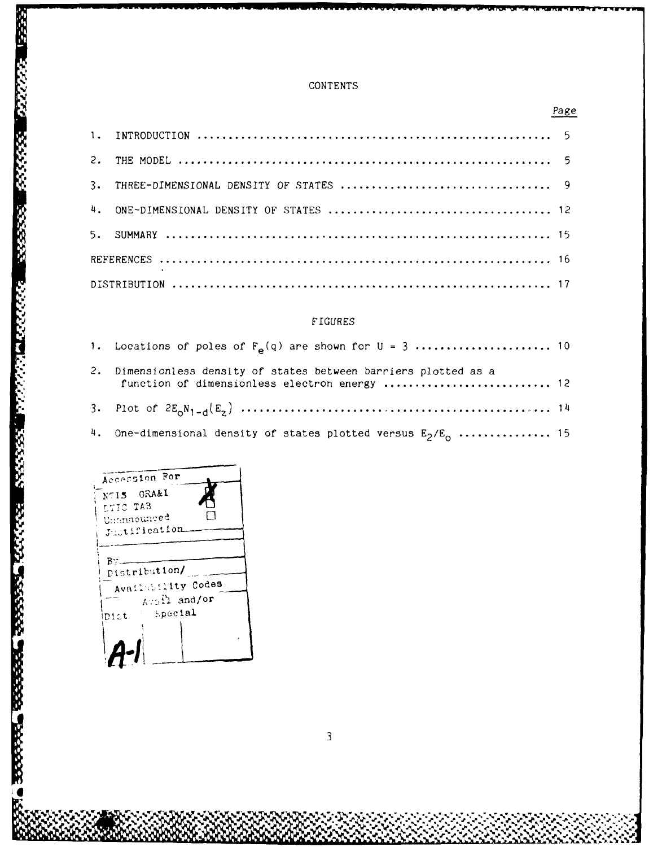# CONTENTS

# Page

# FIGURES

| 2. Dimensionless density of states between barriers plotted as a<br>function of dimensionless electron energy  12 |  |
|-------------------------------------------------------------------------------------------------------------------|--|
|                                                                                                                   |  |
| 4. One-dimensional density of states plotted versus $E_2/E_0$ 15                                                  |  |

| Accession For                |
|------------------------------|
| NTIS GRA&I                   |
| DTIC TAB                     |
| Unannounced<br>Justification |
|                              |
| By                           |
| Distribution/                |
| Availability Codes           |
| $k \in \Omega$ and/or        |
| Special<br>Dist              |
|                              |
|                              |
|                              |
|                              |

**% % %**

• . ,, . . W ". . , . . . .. ,. .. . . . -. ,, ., ,. -. - -.~ . **.**<sup>A</sup>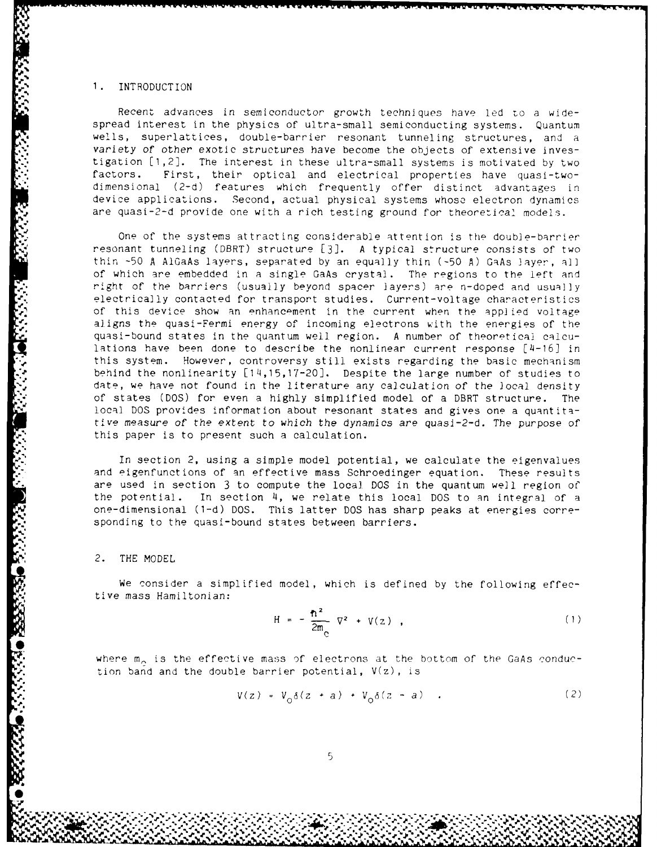#### **1.** INTRODUCTION

**.1**

Recent advances in semiconductor growth techniques have led to a widespread interest in the physics of ultra-small semiconducting systems. Quantum wells, superlattices, double-barrier resonant tunneling structures, and a variety of other exotic structures have become the objects of extensive investigation [1,2]. The interest in these ultra-small systems is motivated by two factors. First, their optical and electrical properties have quasi-twodimensional (2-d) features which frequently offer distinct advantages in device applications. Second, actual physical systems whoso electron dynamics are quasi-2-d provide one with a rich testing ground for theoretical models.

One of the systems attracting considerable attention is the double-barrier resonant tunneling (DBRT) structure [3]. A typical structure consists of two thin -50 A AlGaAs layers, separated by an equally thin (-50 A) GaAs layer, all of which are embedded in a single GaAs crystal. The regions to the left and right of the barriers (usually beyond spacer layers) are n-doped and usually electrically contacted for transport studies. Current-voltage characteristics of this device show an enhancement in the current when the applied voltage -aligns the quasi-Fermi energy of incoming electrons with the energies of the quasi-bound states in the quantum well region. A number of theoretical calculations have been done to describe the nonlinear current response [4-16] in this system. However, controversy still exists regarding the basic mechanism behind the nonlinearity [14,15,17-20]. Despite the large number of studies to date, we have not found in the literature any calculation of the local density of states (DOS) for even a highly simplified model of a DBRT structure. The local DOS provides information about resonant states and gives one a quantitative measure of the extent to which the dynamics are quasi-2-d. The purpose of this paper is to present such a calculation.

In section 2, using a simple model potential, we calculate the eigenvalues and eigenfunctions of an effective mass Schroedinger equation. These results are used in section 3 to compute the local DOS in the quantum well region of the potential. In section 4, we relate this local DOS to an integral of a one-dimensional (1-d) DOS. This latter DOS has sharp peaks at energies corresponding to the quasi-bound states between barriers.

#### 2. THE MODEL

**in. 1999. The Second Manual Property of Manual Property of Manual Property of Property of Property of Property** 

We consider a simplified model, which is defined by the following effective mass Hamiltonian:

$$
H = -\frac{\hbar^2}{2m_c} \nabla^2 + V(z) , \qquad (1)
$$

where  $m_{\alpha}$  is the effective mass of electrons at the bottom of the GaAs conduction band and the double barrier potential,  $V(z)$ , is

$$
V(z) = V_0 \delta(z + a) + V_0 \delta(z - a) \quad . \tag{2}
$$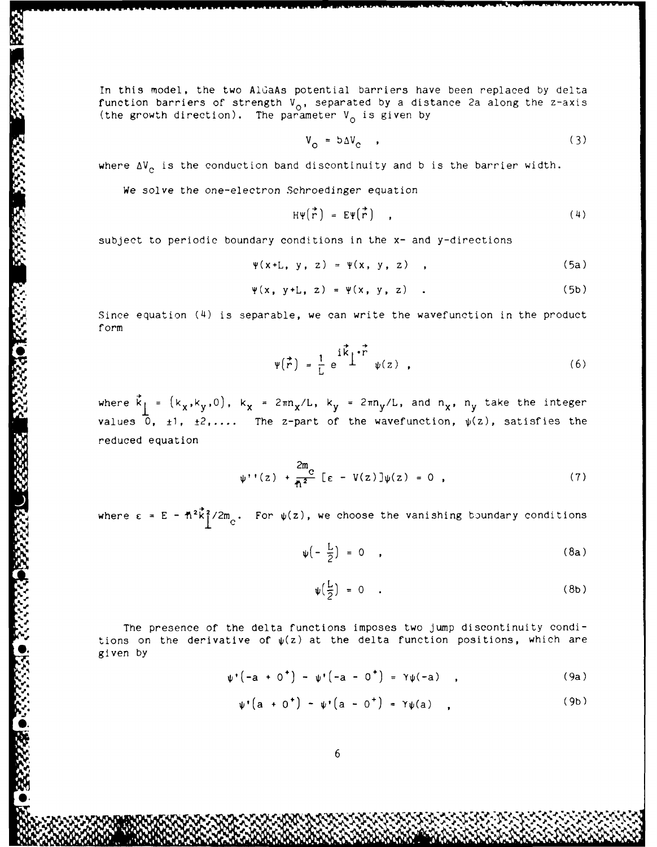In this model, the two AlGaAs potential barriers have been replaced by delta function barriers of strength  $V_{0}$ , separated by a distance 2a along the z-axis (the growth direction). The parameter  $V_{\Omega}$  is given by

$$
V_o = b \Delta V_c \qquad (3)
$$

where  $\Delta V_{\alpha}$  is the conduction band discontinuity and b is the barrier width.

We solve the one-electron Schroedinger equation

$$
H\Psi(\vec{r}) = E\Psi(\vec{r}) \qquad (4)
$$

subject to periodic boundary conditions in the x- and y-directions

$$
\Psi(x+L, y, z) = \Psi(x, y, z), \qquad (5a)
$$

$$
\Psi(x, y+L, z) = \Psi(x, y, z)
$$
 (5b)

Since equation (4) is separable, we can write the wavefunction in the product form

$$
\Psi(\vec{r}) = \frac{1}{L} e^{-i\vec{k}} \mathbf{1} \cdot \vec{r} \qquad \psi(z) \qquad (6)
$$

where  $\vec{k}_{\parallel}$  =  $(k_x, k_y, 0)$ ,  $k_x$  =  $2\pi n_x/L$ ,  $k_y$  =  $2\pi n_y/L$ , and  $n_x$ ,  $n_y$  take the integer values  $\overline{0}$ ,  $\pm 1$ ,  $\pm 2$ ,.... The z-part of the wavefunction,  $\psi(z)$ , satisfies the reduced equation

$$
\psi^{\dagger}{}(z) + \frac{2m}{\hbar^2} \left[ \varepsilon - V(z) \right] \psi(z) = 0 \quad , \tag{7}
$$

where  $\epsilon = E - \hbar^2 \vec{k}_1^2 / 2m_c$ . For  $\psi(z)$ , we choose the vanishing boundary conditions

 $\psi(-\frac{L}{2}) = 0$ , (8a)

$$
\psi\left(\frac{L}{2}\right) = 0 \quad . \tag{8b}
$$

The presence of the delta functions imposes two jump discontinuity conditions on the derivative of  $\psi(z)$  at the delta function positions, which are given by

$$
\psi^{\dagger}(-a + 0^+) - \psi^{\dagger}(-a - 0^+) = \Upsilon \psi(-a) , \qquad (9a)
$$

$$
\psi' (a + 0^+) - \psi' (a - 0^+) = \gamma \psi(a) \qquad (9b)
$$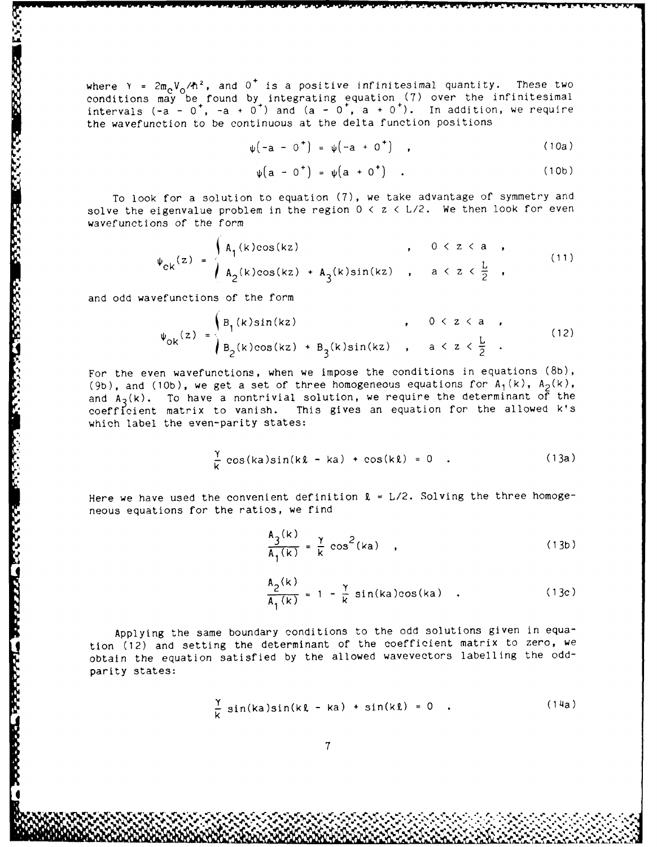where  $Y = 2m<sub>c</sub>V<sub>o</sub>/\hbar^2$ , and  $0^+$  is a positive infinitesimal quantity. These two conditions may be found by integrating equation (7) over the infinitesimal<br>intervals (-a - 0<sup>+</sup>, -a + 0<sup>+</sup>) and (a - 0<sup>+</sup>, a + 0<sup>+</sup>). In addition, we require the wavefunction to be continuous at the delta function positions

$$
\psi(-a - 0^+) = \psi(-a + 0^+) , \qquad (10a)
$$

$$
\psi(a - 0^+) = \psi(a + 0^+) . \qquad (10b)
$$

To look for a solution to equation (7), we take advantage of symmetry and solve the eigenvalue problem in the region 0 **<** z **<** L/2. We then look for even wavefunctions of the form

$$
\psi_{ck}(z) = \begin{cases} A_1(k)\cos(kz) & , & 0 < z < a \\ A_2(k)\cos(kz) + A_3(k)\sin(kz) & , & a < z < \frac{L}{2} \end{cases}
$$
 (11)

and odd wavefunctions of the form

E.S.C

223223

27.77.77

**Extends of** 

$$
y_{0k}(z) = \begin{cases} B_1(k)\sin(kz) & , 0 < z < a \\ B_2(k)\cos(kz) + B_3(k)\sin(kz) & , a < z < \frac{L}{2} \end{cases}
$$
 (12)

For the even wavefunctions, when we impose the conditions in equations (8b), (9b), and (10b), we get a set of three homogeneous equations for  $A_1(k)$ ,  $A_2(k)$ , and  $A_2(k)$ . To have a nontrivial solution, we require the determinant of the and odd wavefunctions of the form<br>  $\psi_{0k}(z) = \begin{cases} B_1(k) \sin(kz) & , 0 \le z \le a \\ B_2(k) \cos(kz) + B_3(k) \sin(kz) & , a \le z \le \frac{L}{2} \end{cases}$ . (12)<br>
For the even wavefunctions, when we impose the conditions in equations (8b),<br>
(9b), and (10b), we ge which label the even-parity states:

$$
\frac{\gamma}{k} \cos(ka) \sin(k\ell - ka) + \cos(k\ell) = 0
$$
 (13a)

Here we have used the convenient definition  $l = L/2$ . Solving the three homogeneous equations for the ratios, we find

$$
\frac{A_3(k)}{A_1(k)} = \frac{\gamma}{k} \cos^2(ka) ,
$$
 (13b)

$$
\frac{A_2(k)}{A_1(k)} = 1 - \frac{\gamma}{k} \sin(ka) \cos(ka) \quad . \tag{13c}
$$

Applying the same boundary conditions to the odd solutions given in equation (12) and setting the determinant of the coefficient matrix to zero, we obtain the equation satisfied by the allowed wavevectors labelling the oddparity states:

$$
\frac{\gamma}{k} \sin(ka) \sin(k\ell - ka) + \sin(k\ell) = 0
$$
 (14a)

'V **j.. %** • , **% , % % %** *--.* .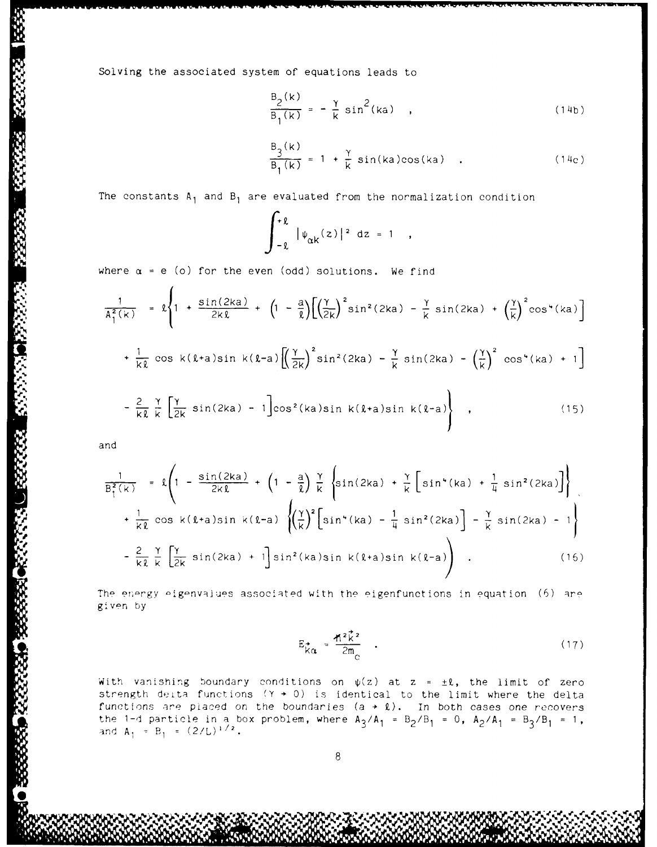Solving the associated system of equations leads to

$$
\frac{B_2(k)}{B_1(k)} = -\frac{\gamma}{k} \sin^2(ka) \quad , \tag{14b}
$$

$$
\frac{B_3(k)}{B_1(k)} = 1 + \frac{\gamma}{k} \sin(ka) \cos(ka) \quad . \tag{14c}
$$

The constants  $A_1$  and  $B_1$  are evaluated from the normalization condition

$$
\int_{-\ell}^{+\ell} |\psi_{\alpha k}(z)|^2 dz = 1 ,
$$

where  $\alpha = e$  (o) for the even (odd) solutions. We find

$$
\frac{1}{A_1^2(k)} = \ell \left\{ 1 + \frac{\sin(2ka)}{2k\ell} + \left( 1 - \frac{a}{\ell} \right) \left[ \left( \frac{\gamma}{2k} \right)^2 \sin^2(2ka) - \frac{\gamma}{k} \sin(2ka) + \left( \frac{\gamma}{k} \right)^2 \cos^4(ka) \right] \right\}
$$

$$
+ \frac{1}{k\ell} \cos k(\ell+a) \sin k(\ell-a) \left[ \left( \frac{\gamma}{2k} \right)^2 \sin^2(2ka) - \frac{\gamma}{k} \sin(2ka) - \left( \frac{\gamma}{k} \right)^2 \cos^4(ka) + 1 \right]
$$

$$
-\frac{2}{k\ell} \frac{\gamma}{k} \left[ \frac{\gamma}{2k} \sin(2ka) - 1 \right] \cos^2(ka) \sin k(\ell+a) \sin k(\ell-a) \Bigg\} , \qquad (15)
$$

and

**RESERVE** 

**ARTICLE AND MANAGER** 

222224

$$
\frac{1}{B_1^2(k)} = \ell \left( 1 - \frac{\sin(2ka)}{2k\ell} + \left( 1 - \frac{a}{\ell} \right) \frac{\gamma}{k} \left\{ \sin(2ka) + \frac{\gamma}{k} \left[ \sin^*(ka) + \frac{1}{4} \sin^2(2ka) \right] \right\} + \frac{1}{k\ell} \cos k(\ell+a) \sin k(\ell-a) \left\{ \left( \frac{\gamma}{k} \right)^2 \left[ \sin^*(ka) - \frac{1}{4} \sin^2(2ka) \right] - \frac{\gamma}{k} \sin(2ka) - 1 \right\} - \frac{2}{k\ell} \frac{\gamma}{k} \left[ \frac{\gamma}{2k} \sin(2ka) + 1 \right] \sin^2(ka) \sin k(\ell+a) \sin k(\ell-a) \right) . \tag{16}
$$

The energy eigenvalues associated with the eigenfunctions in equation (6) are given by

$$
E_{K\alpha}^* = \frac{\pi^2 \vec{k}^2}{2m_c} \quad . \tag{17}
$$

With vanishing boundary conditions on  $\psi(z)$  at  $z = \pm \ell$ , the limit of zero strength deita functions  $(Y \rightarrow 0)$  is identical to the limit where the delta functions are placed on the boundaries  $(a + \ell)$ . In both cases one recovers the 1-d particle in a box problem, where  $A_3/A_1 = B_2/B_1 = 0$ ,  $A_2/A_1 = B_3/B_1 = 1$ , and  $A_1 = B_1 = (2/L)^{1/2}$ .

**00** *P*

**0Z** *lkw* **V1 0%. <sup>1</sup> ~iV. PI** 4% **~\*~\*4 ,~ %**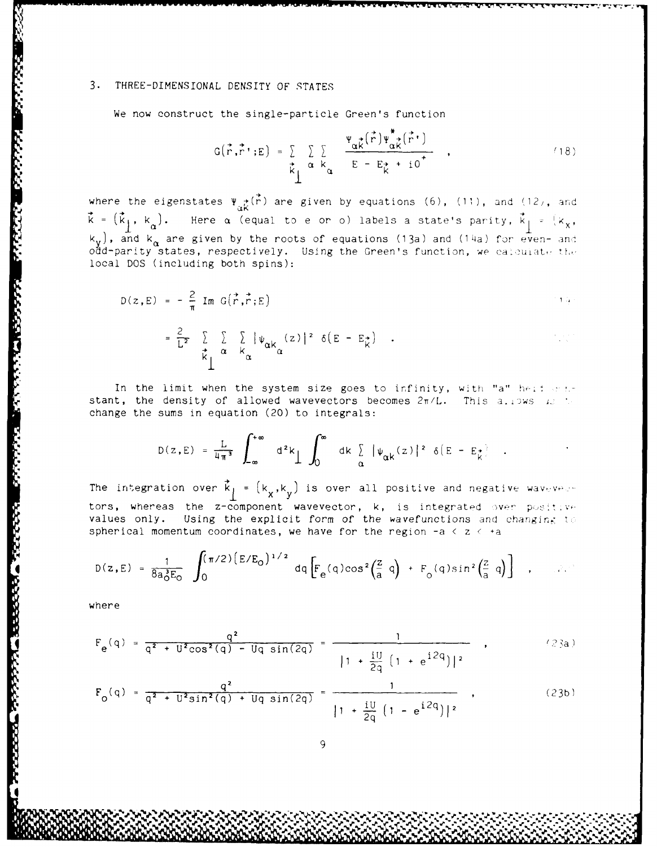## 3. THREE-DIMENSIONAL DENSITY OF STATES

We now construct the single-particle Green's function

$$
G(\vec{r}, \vec{r}^{\prime}; E) = \sum_{\vec{k}} \sum_{\alpha} \sum_{\kappa} \frac{\Psi_{\alpha \vec{k}}(\vec{r}) \Psi_{\alpha \vec{k}}^{\dagger}(\vec{r}^{\prime})}{E - E_{\vec{k}}^{\dagger} + i0^{\dagger}}, \qquad (18)
$$

where the eigenstates  $\Psi_{\vec{a}}(\vec{r})$  are given by equations (6), (11), and (12), and  $\begin{bmatrix} 0 \\ 0 \end{bmatrix}$ , and  $\begin{bmatrix} 0 \\ 0 \end{bmatrix}$ , and  $\begin{bmatrix} 0 \\ 0 \end{bmatrix}$ , and  $\begin{bmatrix} 0 \\ 0 \end{bmatrix}$  $\mathbf{k}$  =  $\left(\mathbf{k_{1}}, \ \mathbf{k_{1}}\right)$ . Here  $\mathbf{\alpha}$  (equal to e or o) labels a state's parity,  $\mathbf{\vec{k}_{1}}$  =  $\left(\mathbf{k_{2}}, \mathbf{k_{3}}\right)$  $\mathsf{k}_{_{\mathbf{V}}}$ ), and  $\mathsf{k}_{_{\mathbf{N}}}$  are given by the roots of equations (13a) and (14a) for even- and odd-parity states, respectively. Using the Green's function, we calculate the local DOS (including both spins):

$$
D(z,E) = -\frac{2}{\pi} Im G(\vec{r},\vec{r};E)
$$
  

$$
= \frac{2}{L^2} \sum_{\vec{k}_1} \sum_{\alpha} \sum_{\kappa_\alpha} |\psi_{\alpha k_\alpha}(z)|^2 \delta(E - E_{\vec{k}}).
$$

In the limit when the system size goes to infinity, with "a" heid and  $r$ stant, the density of allowed wavevectors becomes  $2\pi/L$ . This allows is the change the sums in equation (20) to integrals:

$$
D(z,E) = \frac{L}{4\pi^3} \int_{-\infty}^{+\infty} d^2k \int_0^{\infty} dk \int_{\alpha} |\psi_{\alpha k}(z)|^2 \delta(E - E_{k}^{+}) .
$$

The integration over  $\vec{k}_{\parallel}$  =  $(k_x, k_y)$  is over all positive and negative wavever tors, whereas the z-component wavevector, k, is integrated over positive values only. Using the explicit form of the wavefunctions and changing to spherical momentum coordinates, we have for the region  $-a < z < +a$ 

$$
D(z,E) = \frac{1}{8a_0^3E_0} \int_0^{(\pi/2)\left(E/E_0\right)^{1/2}} dq \left[F_e(q)\cos^2\left(\frac{z}{a}q\right) + F_o(q)\sin^2\left(\frac{z}{a}q\right)\right],
$$

where

22222

**BASES COMPANY AND STATE** 

ಬಲಾಯ ಕಾರ್ಯಾಂಡಿ ಮಾಡಬಹುದಾಗಿದೆ.<br>ಹಾಗೂ ಮಾಡಿ ಮಾಡಿ ಮಾಡಬಹುದಾಗಿದೆ.

$$
F_e(q) = \frac{q^2}{q^2 + U^2 \cos^2(q) - Uq \sin(2q)} = \frac{1}{\left|1 + \frac{iU}{2q} \left(1 + e^{i2q}\right)\right|^2},
$$
 (23a)

$$
F_0(q) = \frac{q^2}{q^2 + U^2 \sin^2(q) + Uq \sin(2q)} = \frac{1}{\left|1 + \frac{iU}{2q} (1 - e^{i2q})\right|^2},
$$
 (23b)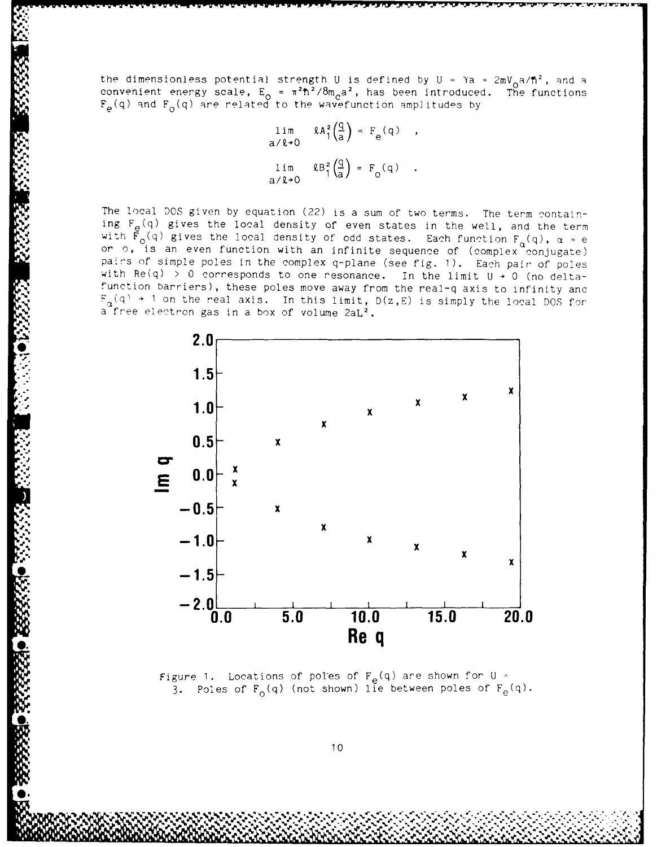the dimensionless potential strength U is defined by U =  $\gamma a = 2mV_0a/M^2$ , and a convenient energy scale, **E0** = 7<sup>2</sup> <sup>2</sup> /8m ca <sup>2</sup> , has been introduced. The functions  $\mathtt{F}_{_{\mathbf{O}}}(q)$  and  $\mathtt{F}_{_{\mathbf{O}}}(q)$  are related to the wavefunction amplitudes by

$$
\lim_{\begin{array}{c} a/\ell \to 0 \\ a/\ell \to 0 \end{array}} \ell A_1^2 \left(\frac{q}{a}\right) = F_e(q) ,
$$
\n
$$
\lim_{\begin{array}{c} a/\ell \to 0 \\ a/\ell \to 0 \end{array}} \ell B_1^2 \left(\frac{q}{a}\right) = F_o(q) .
$$

The local DOS given by equation (22) is a sum of two terms. The term containing  $F_{\rho}(q)$  gives the local density of even states in the well, and the term with  $\vec{F}_0(q)$  gives the local density of odd states. Each function  $F_{\alpha}(q)$ ,  $\alpha = e$ or o, is an even function with an infinite sequence of (complex conjugate) pairs of simple poles in the complex q-plane (see fig. **7).** Each pair of poles with Re(q) > 0 corresponds to one resonance. In the limit  $U \rightarrow 0$  (no deltafunction barriers), these poles move away from the real-q axis to infinity ana  $F_{\alpha}(q) \rightarrow 1$  on the real axis. In this limit,  $D(z,E)$  is simply the local DOS for a free electron gas in a box of volume 2aL<sup>2</sup>.



Figure 1. Locations of poles of  $F_e(q)$  are shown for U = 3. Poles of  $F_{\alpha}(q)$  (not shown) lie between poles of  $F_{\alpha}(q)$ .

**10**

**%**

**0. %%**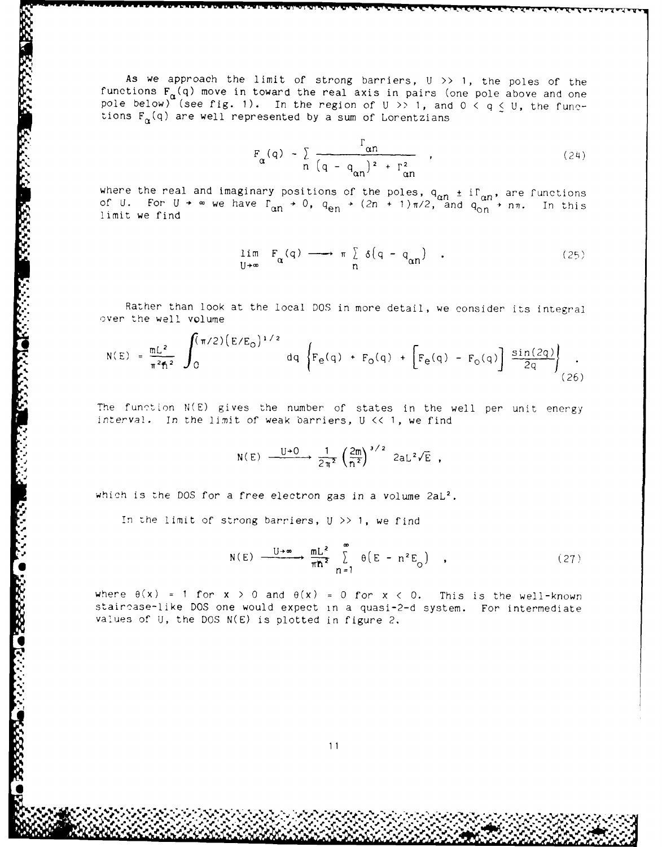As we approach the limit of strong barriers, U **>> 1,** the poles of the functions  $F_{\alpha}(q)$  move in toward the real axis in pairs (one pole above and one pole below) (see fig. 1). In the region of U >> 1, and 0 < q  $\leq$  U, the functions  $F_{\alpha}(q)$  are well represented by a sum of Lorentzians

$$
F_{\alpha}(q) - \sum_{n} \frac{r_{\alpha n}}{(q - q_{\alpha n})^2 + r_{\alpha n}^2},
$$
 (24)

where the real and imaginary positions of the poles,  $q_{nn}$  + if<sub>ing</sub>, are functions of U. For  $U + \infty$  we have  $\Gamma_{\alpha n} \to 0$ ,  $q_{\alpha n} \to (2n + 1)\pi/2$ , and  $q_{\alpha n} \to n\pi$ . In this limit we find

$$
\lim_{U \to \infty} F_{\alpha}(q) \longrightarrow \pi \sum_{n} \delta(q - q_{\alpha n}) \quad . \tag{25}
$$

Rather than look at the local DOS in more detail, we consider its integral over the well volume

N(E) = 
$$
\frac{mL^2}{\pi^2 \hbar^2} \int_0^{(\pi/2) (E/E_0)^{1/2}} dq \left\{ F_e(q) + F_o(q) + \left[ F_e(q) - F_o(q) \right] \frac{\sin(2q)}{2q} \right\}
$$
 (26)

The function N(E) gives the number of states in the well per unit energy interval. In the limit of weak barriers, U **<< 1,** we find

$$
N(E) \xrightarrow{\quad \text{U}+0 \quad} \frac{1}{2\pi^2} \left(\frac{2m}{n^2}\right)^{3/2} 2aL^2\sqrt{E} ,
$$

which is the DOS for a free electron gas in a volume 2aL<sup>2</sup>.

in the limit of strong barriers, U **>> 1,** we find

*.* **- % % %** *e.* **P % J.r%**

662222368232225

**Contract Contract** 

2555555

$$
N(E) \xrightarrow{\quad \text{U} \to \infty \quad} \frac{mL^2}{\pi n^2} \sum_{n=1}^{\infty} \theta(E - n^2 E_{\odot}) \quad , \tag{27}
$$

where  $\theta(x) = 1$  for  $x > 0$  and  $\theta(x) = 0$  for  $x < 0$ . This is the well-known staircase-like DOS one would expect in a quasi-2-d system. For intermediate values of U, the DOS N(E) is plotted in figure 2.

**% •'j, ,** , **% %** - **% ",- % .% 4,% %** ",' ." **%** " **% "** ."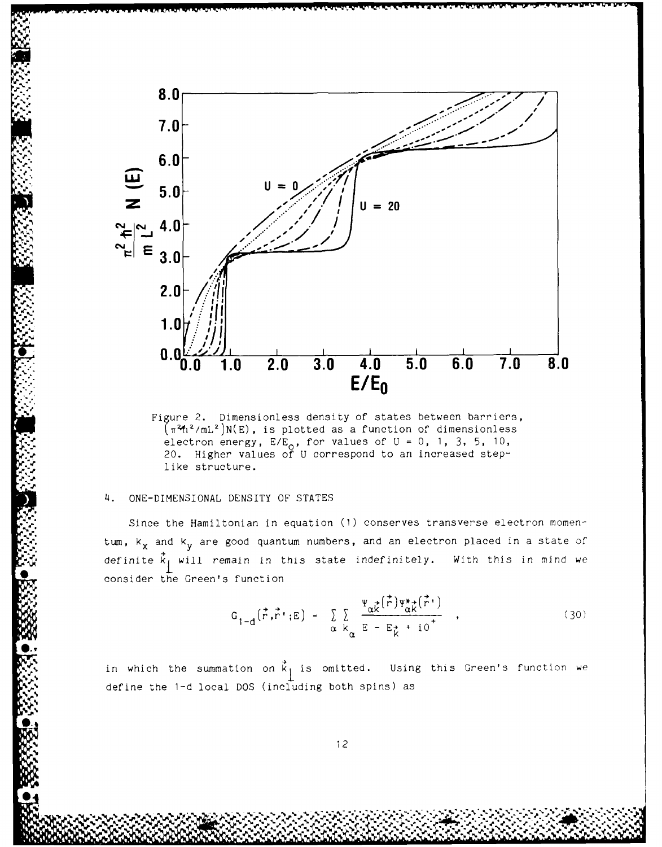

Figure 2. Dimensionless density of states between barriers,  $(\pi^2\eta^2/\text{mL}^2)N(E)$ , is plotted as a function of dimensionless electron energy,  $E/E_0$ , for values of  $U = 0$ , 1, 3, 5, 10, 20. Higher values of U correspond to an increased steplike structure.

## 4. ONE-DIMENSIONAL DENSITY OF STATES

Since the Hamiltonian in equation (1) conserves transverse electron momentum,  $k_x$  and  $k_y$  are good quantum numbers, and an electron placed in a state of definite  $\vec{k}_1$  will remain in this state indefinitely. With this in mind we consider the Green's function

$$
G_{1-d}(\vec{r},\vec{r}^{\prime};E) = \sum_{\alpha \in k_{\alpha}} \sum_{E - E_{K}^{+} + i0^{+}} \frac{\Psi_{\alpha \vec{k}}(\vec{r}) \Psi_{\alpha \vec{k}}^{*}(\vec{r}^{\prime})}{\sum_{E - E_{K}^{+} + i0^{+}} \frac{1}{\sqrt{2}}}
$$
(30)

in which the summation on  $\vec{k}_1$  is omitted. Using this Green's function we define the 1-d local DOS (including both spins) as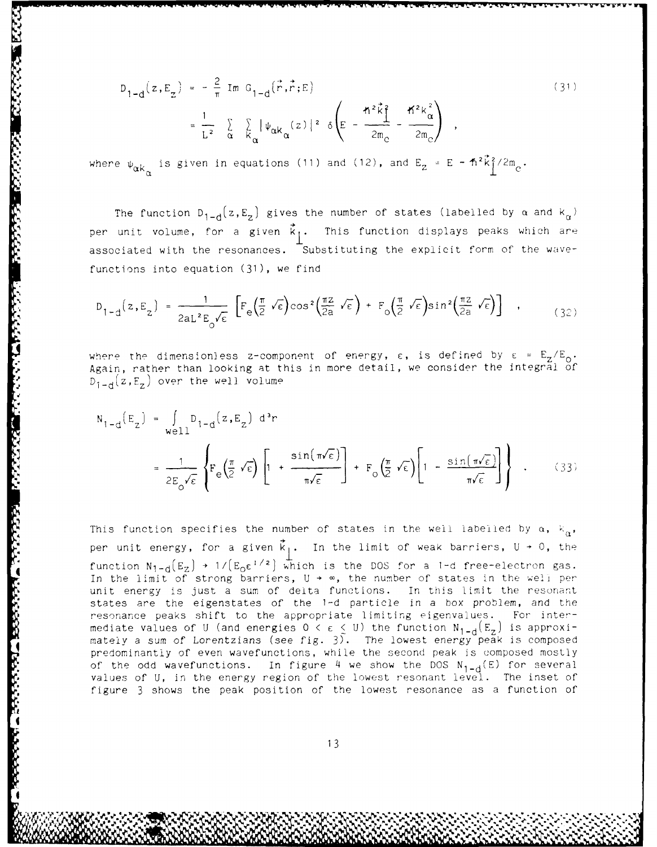$$
D_{1-d}(z, E_z) = -\frac{2}{\pi} Im G_{1-d}(\vec{r}, \vec{r}; E)
$$
  

$$
= \frac{1}{L^2} \sum_{\alpha} \sum_{k} |\psi_{\alpha k_{\alpha}}(z)|^2 \delta \left( E - \frac{M^2 \vec{k}_{1}^2}{2m_c} - \frac{M^2 k_{\alpha}^2}{2m_c} \right) ,
$$
 (31)

where  $\psi_{\alpha\mathsf{k}}$  is given in equations (11) and (12), and  $\mathsf{E}_\mathsf{Z}$  = E =  $\verb"f" \verb"f" \verb"k" \verb"f" \verb"2" \verb"m" \verb"c" \verb"}.$ 

**PASA** 

あいこう こうこうこう こうこう

The function  $D_{1-d}(z,E_z)$  gives the number of states (labelled by  $\alpha$  and  $k_{\alpha}$ ) per unit volume, for a given  $\vec{k}_1$ . This function displays peaks which are associated with the resonances. Substituting the explicit form of the wavefunctions into equation (31), we find

$$
D_{1-d}(z,E_z) = \frac{1}{2aL^2E_0\sqrt{\epsilon}} \left[ F_e\left(\frac{\pi}{2}\sqrt{\epsilon}\right)\cos^2\left(\frac{\pi z}{2a}\sqrt{\epsilon}\right) + F_o\left(\frac{\pi}{2}\sqrt{\epsilon}\right)\sin^2\left(\frac{\pi z}{2a}\sqrt{\epsilon}\right) \right] , \qquad (32)
$$

where the dimensionless z-component of energy,  $\epsilon$ , is defined by  $\epsilon = E_Z / E_Q$ . Again, rather than looking at this in more detail, we consider the integral of  $D_{1-d}(z,E_z)$  over the well volume

$$
N_{1-d}(E_z) = \int_{\text{well}} D_{1-d}(z, E_z) d^3r
$$
  

$$
= \frac{1}{2E_0\sqrt{\epsilon}} \left\{ F_e\left(\frac{\pi}{2}\sqrt{\epsilon}\right) \left[1 + \frac{\sin(\pi\sqrt{\epsilon})}{\pi\sqrt{\epsilon}} \right] + F_o\left(\frac{\pi}{2}\sqrt{\epsilon}\right) \left[1 - \frac{\sin(\pi\sqrt{\epsilon})}{\pi\sqrt{\epsilon}} \right] \right\} .
$$
 (33)

This function specifies the number of states in the well labelled by  $\alpha$ ,  $k_{\alpha}$ , **4** per unit energy, for a given **k** In the limit of weak barriers, U 4 **0,** the **4 function**  $N_{1-d}(E_z) \rightarrow 1/(E_0 \varepsilon^{1/2})$  **which is the DOS for a 1-d free-electron gas.** In the limit of strong barriers,  $U \rightarrow \infty$ , the number of states in the well per unit energy is just a sum of delta functions. In this limit the resonant states are the eigenstates of the **1-d** particle in a box problem, and the resonance peaks shift to the appropriate limiting eigenvalues. For intermediate values of U (and energies  $0 \lt \epsilon \leq U$ ) the function  $N_{1-d}(E_z)$  is approximately a sum of Lorentzians (see fig.  $3$ ). The lowest energy peak is composed predominantly of even wavefunctions, while the second peak is composed mostly of the odd wavefunctions. In figure 4 we show the DOS  $N_{1-d}(E)$  for several values of U, in the energy region of the lowest resonant level. The inset of figure 3 shows the peak position of the lowest resonance as a function of

**13**

**%4 . .**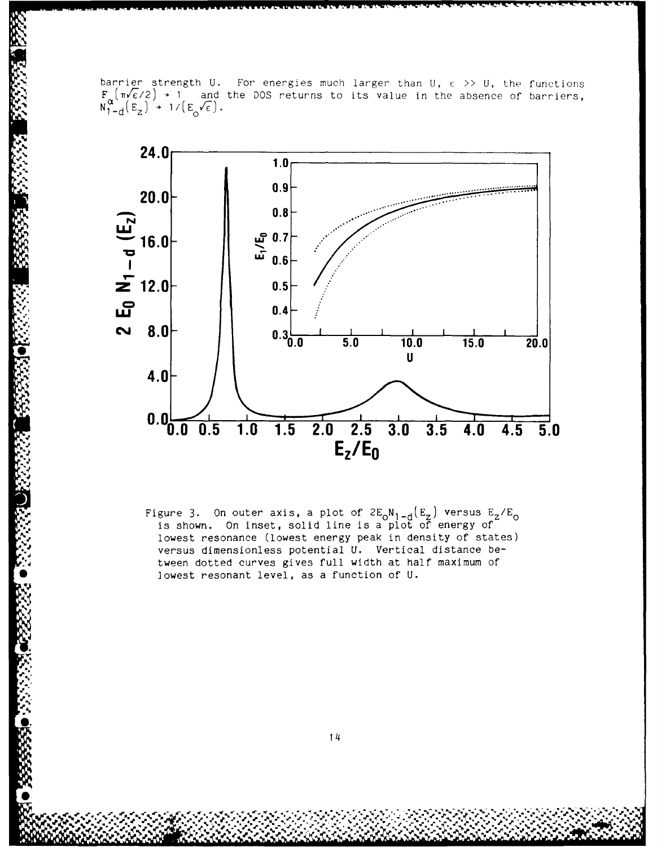barrier strength U. For energies much larger than U,  $\varepsilon \gg U$ , the functions  $F_{\alpha}(\pi\sqrt{\epsilon}/2)$  + 1 and the DOS returns to its value in the absence of barriers,<br> $N_{1-d}^{\alpha}(\epsilon_2)$  + 1/ $(\epsilon_0\sqrt{\epsilon})$ .



Figure 3. On outer axis, a plot of  $2E_0N_{1-d}(E_z)$  versus  $E_z/E_0$  is shown. On inset, solid line is a plot of energy of lowest resonance (lowest energy peak in density of states) versus dimensionless potential U. Vertical distance between dotted curves gives full width at half maximum of lowest resonant level, as a function of U.

 $14$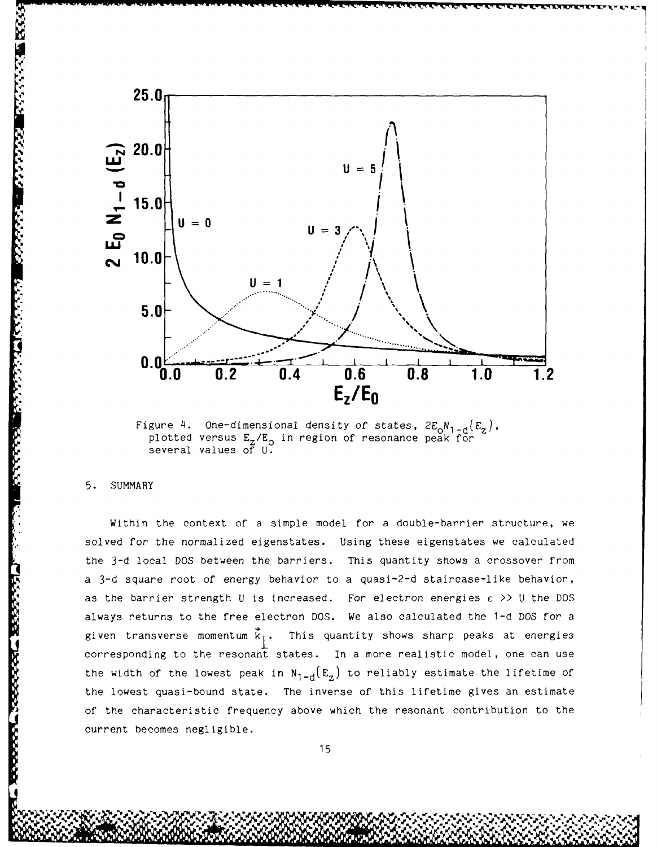

Figure 4. One-dimensional density of states,  $2E_0N_{1-d}(E_z)$ , plotted versus  $E_z/E_0$  in region of resonance peak for several values of U.

### 5. SUMMARY

**TANNA KANA BERGE** 

**PERSONAL PROPERTY AND PROPERTY** 

Within the context of a simple model for a double-barrier structure, we solved for the normalized eigenstates. Using these eigenstates we calculated the 3-d local DOS between the barriers. This quantity shows a crossover from a 3-d square root of energy behavior to a quasi-2-d staircase-like behavior, as the barrier strength U is increased. For electron energies  $\varepsilon$  >> U the DOS always returns to the free electron DOS. We also calculated the 1-d DOS for a given transverse momentum  $\vec{k}_1$ . This quantity shows sharp peaks at energies corresponding to the resonant states. In a more realistic model, one can use the width of the lowest peak in  $N_{1-d}(E_z)$  to reliably estimate the lifetime of the lowest quasi-bound state. The inverse of this lifetime gives an estimate of the characteristic frequency above which the resonant contribution to the current becomes negligible.

"' **% '= ""** 1'"% " **" w,, '** *""* **"** *,r* • **"**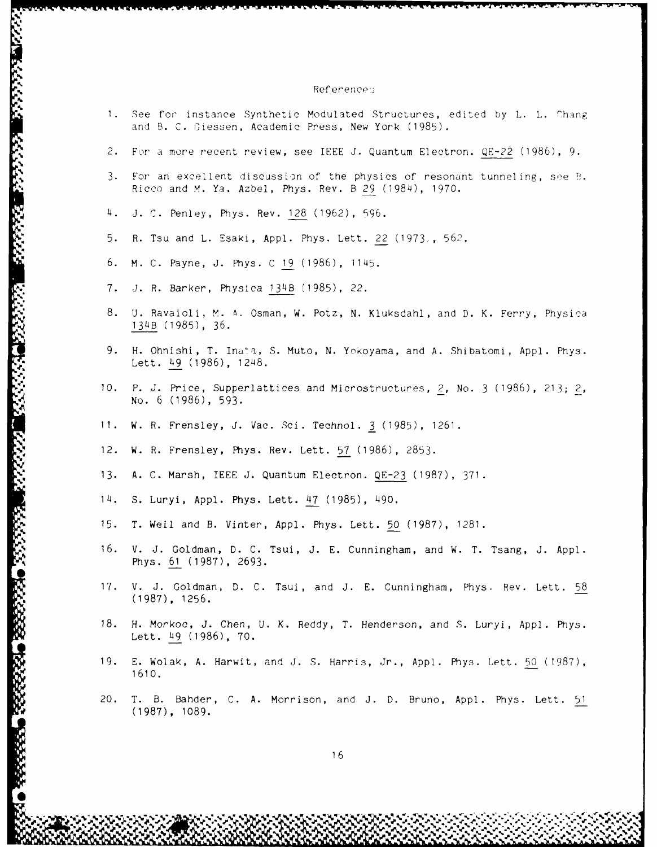## References

|     | 1. See for instance Synthetic Modulated Structures, edited by L. L. Chang<br>and B. C. Giessen, Academic Press, New York (1985).  |
|-----|-----------------------------------------------------------------------------------------------------------------------------------|
| 2.  | For a more recent review, see IEEE J. Quantum Electron. QE-22 (1986), 9.                                                          |
| 3.  | For an excellent discussion of the physics of resonant tunneling, see B.<br>Ricco and M. Ya. Azbel, Phys. Rev. B 29 (1984), 1970. |
| 4.  | J. C. Penley, Phys. Rev. 128 (1962), 596.                                                                                         |
| 5.  | R. Tsu and L. Esaki, Appl. Phys. Lett. 22 (1973), 562.                                                                            |
| 6.  | M. C. Payne, J. Phys. C 19 (1986), 1145.                                                                                          |
| 7.  | J. R. Barker, Physica 134B (1985), 22.                                                                                            |
| 8.  | U. Ravaioli, M. A. Osman, W. Potz, N. Kluksdahl, and D. K. Ferry, Physica<br>134B (1985), 36.                                     |
| 9.  | H. Ohnishi, T. Inata, S. Muto, N. Yokoyama, and A. Shibatomi, Appl. Phys.<br>Lett. 49 (1986), 1248.                               |
| 10. | P. J. Price, Supperlattices and Microstructures, 2, No. 3 (1986), 213; 2,<br>No. 6 (1986), 593.                                   |
| 11. | W. R. Frensley, J. Vac. Sci. Technol. 3 (1985), 1261.                                                                             |
| 12. | W. R. Frensley, Phys. Rev. Lett. 57 (1986), 2853.                                                                                 |
| 13. | A. C. Marsh, IEEE J. Quantum Electron. QE-23 (1987), 371.                                                                         |
| 14. | S. Luryi, Appl. Phys. Lett. 47 (1985), 490.                                                                                       |
| 15. | T. Weil and B. Vinter, Appl. Phys. Lett. 50 (1987), 1281.                                                                         |
| 16. | V. J. Goldman, D. C. Tsui, J. E. Cunningham, and W. T. Tsang, J. Appl.<br>Phys. 61 (1987), 2693.                                  |
| 17. | V. J. Goldman, D. C. Tsui, and J. E. Cunningham, Phys. Rev. Lett. 58<br>$(1987)$ , 1256.                                          |
| 18. | H. Morkoc, J. Chen, U. K. Reddy, T. Henderson, and S. Luryi, Appl. Phys.<br>Lett. 49 (1986), 70.                                  |
| 19. | E. Wolak, A. Harwit, and J. S. Harris, Jr., Appl. Phys. Lett. 50 (1987),<br>1610.                                                 |
| 20. | T. B. Bahder, C. A. Morrison, and J. D. Bruno, Appl. Phys. Lett. 51<br>$(1987)$ , 1089.                                           |
|     |                                                                                                                                   |

**0A**

. TARAH KARAN BERTA, KARA KATA KATA BARANG KATA BATA BARAN KATA KATA KATA KA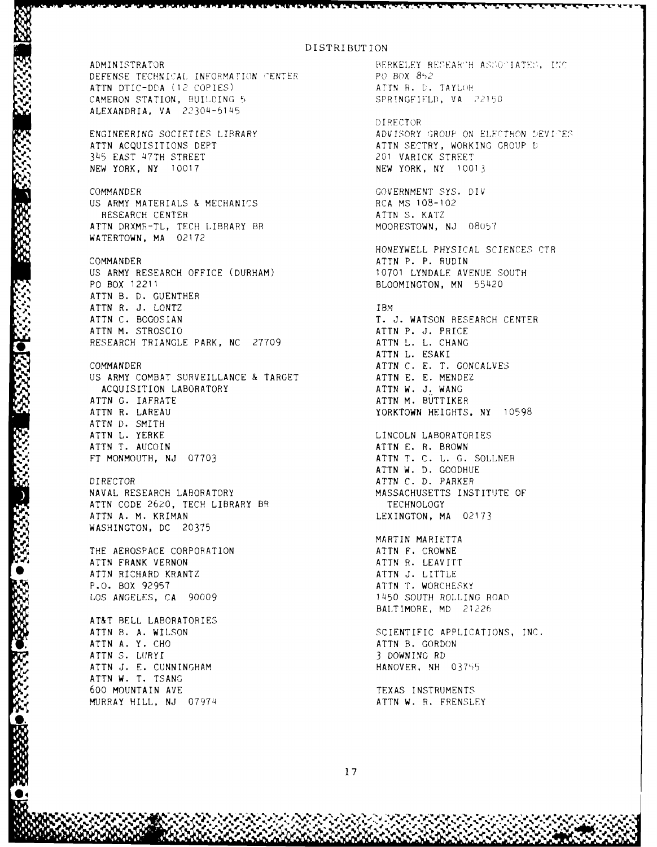#### DI STRIBUTION

ADMINISTRATOR BERKELEY RESEARCH ASCOCIATED, INC. DEFENSE TECHNICAL. INFORMATION ,"ENTER **PC** BOX **8,)2** ATTN DTIC-DDA (12 COPIES) CAMERON STATION, BUILDING 5 SPRINGFIELD, VA 22150 ALEXANDRIA, VA 22304-6145 ENGINEERING SOCIETIES LIBRARY AND ADVISORY GROUP ON ELECTHON DEVIPES ATTN ACQUISITIONS DEPT ATTN SECTRY, WORKING GROUP D 345**EAST 47TH STREET** NEW YORK, NY 10017 NEW YORK, NY 10013 COMMANDER GOVERNMENT SYS. DIV US ARMY MATERIALS & MECHANICS RCA MS 108-102 RESEARCH CENTER **ATTN S. KATZ** ATTN DRXMR-TL, TECH LIBRARY BR MOORESTOWN, NJ 08057 WATERTOWN, MA 02172 COMMANDER ATTN P. P. RUDIN US ARMY RESEARCH OFFICE (DURHAM) 10701 LYNDALE AVENUE SOUTH PO BOX 12211 BLOOMINGTON, MN 55420 ATTN B. D. GUENTHER **ATTN** R. **J.** LONTZ IBM ATTN C. BOGOSIAN T. J. WATSON RESEARCH CENTER<br>
ATTN M. STROSCIO ATTN M. STROSCIO \*RESEARCH **TRIANGLE** PARK, **NC 27709 ATTN** L. L. **CHANG** COMMANDER<br>
US ARMY COMBAT SURVEILLANCE & TARGET ATTN E. E. MENDEZ US ARMY COMBAT SURVEILLANCE & TARGET ACQUISITION LABORATORY **ATTN W. J. WANG** ATTN G. IAFRATE **ATTN M. BUTTIKER** ATTN R. LAREAU **ARTICLE ISLANDING** TO MALL THE VORKTOWN HEIGHTS, NY 10598 ATTN D. SMITH ATTN L. YERKE LINCOLN LABORATORIES **ATTN T. AUCOIN ATTN E. R. BROWN** FT MONMOUTH, NJ 07703 ATTN T. C. L. **G.** SOLLNER DIRECTOR ATTN C. **D.** PARKER ATTN CODE 2620, TECH LIBRARY BR TECHNOLOGY ATTN A. M. KRIMAN LEXINGTON, MA 02173 WASHINGTON, DC 20375 THE AEROSPACE CORPORATION **ATTN F. CROWNE** ATTN FRANK VERNON ATTN R. LEAVITT ATTN RICHARD KRANTZ **ATTN J. LITTLE** P.O. BOX 92957 ATTN T. WORCHESKY LOS ANGELES, CA 90009 1450 SOUTH ROLLING ROAD AT&T BELL LABORATORIES ATTN B. A. WILSON SCIENTIFIC APPLICATIONS, INC. ATTN A. Y. CHO ATTN B. GORDON ATTN S. LURYI 3 DOWNING RD ATTN J. E. CUNNINGHAM **HANOVER, NH** 03755 ATTN W. T. TSANG 600 MOUNTAIN AVE **TEXAS INSTRUMENTS MURRAY HILL, NJ 07974 ATTN W. R. FRENSLEY** 

DIRECTOR HONEYWELL PHYSICAL SCIENCES CTR **ATTN** L. ESAKI ATTN W. D. GOODHUE MASSACHUSETTS INSTITUTE OF MARTIN MARIETTA BALTIMORE, MD 21226

~~~~ **%** , **\*\~**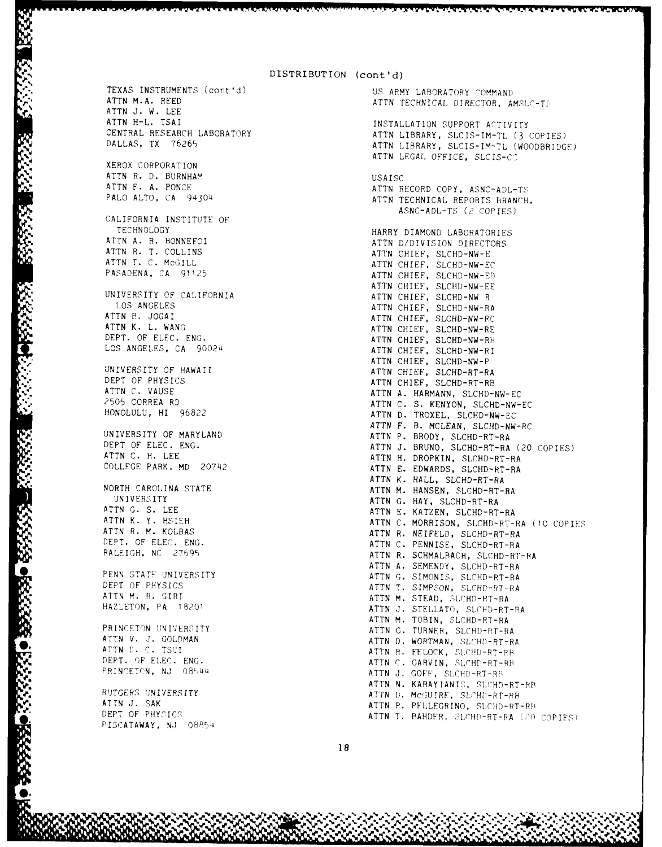ATTN **J.** W. LEE ATTN H-L. TSAI 1999 - 1999 - 1999 - 1999 - 1999 - 1999 - 1999 - 1999 - 1999 - 1999 - 1999 - 1999 - 1999 - 199<br>1999 - 1999 - 1999 - 1999 - 1999 - 1999 - 1999 - 1999 - 1999 - 1999 - 1999 - 1999 - 1999 - 1999 - 1999 - 1999 XEROX CORPORATION ATTN R. D. BURNHAM USAISC ATTN F. A. PONCE ATTN RECORD COPY, ASNC-ADL-TS CALIFORNIA INSTITUTE OF TECHNOLOGY ATTN A. R. BONNEFOI ATTN A. R. BONNEFOI ATTN A. R. BONNEFOI ATTN D/DIVISION DIRECTORS ATTN R. T. COLLINS ATTN CHIEF, SLCHD-NW-EC<br>
ATTN T. C. McGILL ATTN CHIEF, SLCHD-NW-EC ATTN CHIEF, SLCHD-NW-EC ATTN T. C. MCGILL ATTN CHIEF, SLCHD-NW-EC<br>PASADENA, CA 91125 ATTN CHIEF, SLCHD-NW-ED UNIVERSITY OF CALIFORNIA ATTN CHIEF, SLCHD-NW R<br>LOS ANGELES ATTN CHIEF, SLCHD-NW-RA **ATTN R. JOGAI ATTN CHIEF, SLCHD-NW-RC**<br> **ATTN K. L. WANG** ATTN CHIEF, SLCHD-NW-RE **ATTN K. L. WANG ATTN CHIEF, SLCHD-NW-RE<br>DEPT. OF ELEC. ENG. ATTN CHIEF, SLCHD-NW-RH** DEPT. OF ELEC. ENG. ATTN CHIEF, SLCHD-NW-RHE LOS ANGELES, CA 90024 **ATTN** CHIEF, SLCHD-NW-RI UNIVERSITY OF HAWAII ATTN CHIEF, SLCHD-RT-RA DEPT OF PHYSICS<br>
ATTN C. VAUSE ATTN A. HARMANN SICHD-RT-RB 2505 CORREA RD<br>
2505 CORREA RD<br>
2505 CORREA RD<br>
2505 CORREA RD<br>
27TN D. TROXEI SICHD-NW-EC **ATTN C. H. LEE**<br>COLLEGE PARK, MD 20742 **ATTN F. FINAPION** SICHD-RT-RA NORTH CAROLINA STATE ATTN M. HANSEN, SLCHD-RT-RA DEPT. OF ELEC. ENG. ATTN C. PENNISE, SLCHD-RT-RA RALEIGH, NC 27695 ATTN R. SCHMALRACH, SLCHD-RT-RA PENN STATE UNIVERSITY **ATTN A. SEMENDY, SLCHD-RT-RA**<br>ATTN G. SIMONIS, SLCHD-RT-RA DEPT OF PHYSICS ATTN T. SIMPSON, SLCHD-RT-RA ATTN M. R. GIRL ATTN M. STEAD, SLCHD-RT-RA HAZLETON, PA 18201 ATTN **J.** STELLATO, SLCHD-RT-RA PRINCETON UNIVERSITY **ATTN G. TURNER, SLCHD-RT-RA** ATTN V. J. GOLDMAN **ATTN D. WORTMAN, SLCHD-RT-RA** ATTN D. C. TSUI ATTN R. FELOCK, SLCHD-RT-RB DEPT. OF ELEC. ENG. **ATTN C. GARVIN, SLCHD-RT-RB** PRINCETON, NJ 08544 **ATTN J. GOFF, SLCHD-RT-RP** ATTN N. KARAYIANIS, SLCHD-RT-RR<br>
RUTGERS UNIVERSITY **ATTN D. MCGUIRE, SLCHD-RT-RB** . ATTN P. PELLEGRINO, SLCHD-RT-RB<br>
ATTN P. PELLEGRINO, SLCHD-RT-RR PISCATAWAY, NJ 08854

TEXAS INSTRUMENTS (cont'd) US ARMY LABORATORY COMMAND ATTN M.A. REED ATTN TECHNICAL DIRECTOR, AMSLC-TD CENTRAL RESEARCH LABORATORY ATTN LIBRARY, SLCIS-IM-TL **(3** COPIES) ATTN LIBRARY, SLCIS-IM-TL (WOODBRIDGE) ATTN LEGAL OFFICE, SLCIS-CC ATTN TECHNICAL REPORTS BRANCH, ASNC-ADL-TS (2 COPIES) ATTN CHIEF, SLCHD-NW-EE ATTN CHIEF, SLCHD-NW-P ATTN A. HARMANN, SLCHD-NW-EC ATTN D. TROXEL, SLCHD-NW-EC ATTN F. B. MCLEAN, SLCHD-NW-RC UNIVERSITY OF MARYLAND ATTN P. BRODY, SLCHD-RT-RA<br>
DEPT OF ELEC. ENG.<br>
ATTN C. H. LEE<br>
ATTN H. DROPKIN, SLCHD-RT-RA (20 COPIES) ATTN E. EDWARDS, SLCHD-RT-RA<br>ATTN K. HALL, SLCHD-RT-RA UNIVERSITY<br>
ATTN G. S. LEE<br>
ATTN G. S. LEE ATTN E. KATZEN, SLCHD-RT-RA<br>
ATTN K. Y. HSIEH ATTN C. MORRISON, SLCHD-RT-RA (10 COPIES<br>
ATTN R. NEIFELD, SLCHD-RT-RA<br>
ATTN R. NEIFELD, SLCHD-RT-RA ATTN M. TOBIN, SLCHD-RT-RA DEPT OF PHYCICS ATTN T. BAHDER, SLOHD-RT-RA (20 COPIES)